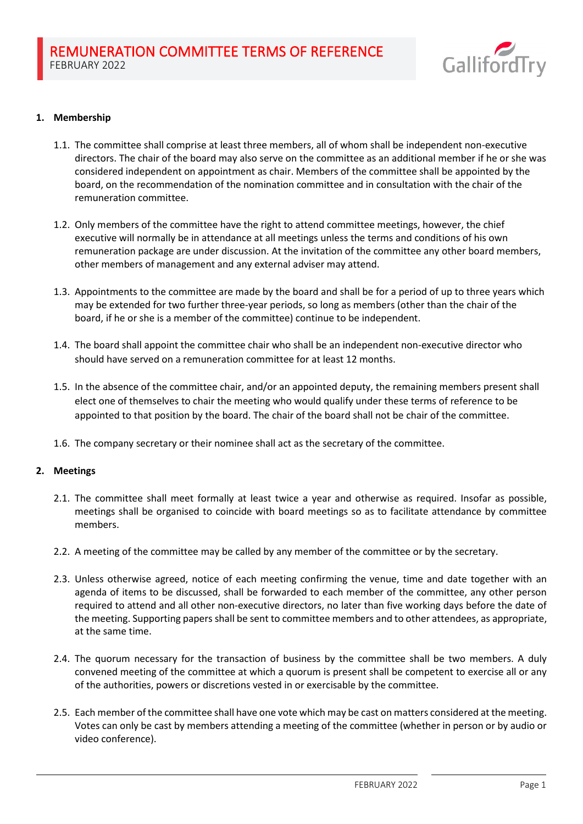

# **1. Membership**

- 1.1. The committee shall comprise at least three members, all of whom shall be independent non-executive directors. The chair of the board may also serve on the committee as an additional member if he or she was considered independent on appointment as chair. Members of the committee shall be appointed by the board, on the recommendation of the nomination committee and in consultation with the chair of the remuneration committee.
- 1.2. Only members of the committee have the right to attend committee meetings, however, the chief executive will normally be in attendance at all meetings unless the terms and conditions of his own remuneration package are under discussion. At the invitation of the committee any other board members, other members of management and any external adviser may attend.
- 1.3. Appointments to the committee are made by the board and shall be for a period of up to three years which may be extended for two further three-year periods, so long as members (other than the chair of the board, if he or she is a member of the committee) continue to be independent.
- 1.4. The board shall appoint the committee chair who shall be an independent non-executive director who should have served on a remuneration committee for at least 12 months.
- 1.5. In the absence of the committee chair, and/or an appointed deputy, the remaining members present shall elect one of themselves to chair the meeting who would qualify under these terms of reference to be appointed to that position by the board. The chair of the board shall not be chair of the committee.
- 1.6. The company secretary or their nominee shall act as the secretary of the committee.

### **2. Meetings**

- 2.1. The committee shall meet formally at least twice a year and otherwise as required. Insofar as possible, meetings shall be organised to coincide with board meetings so as to facilitate attendance by committee members.
- 2.2. A meeting of the committee may be called by any member of the committee or by the secretary.
- 2.3. Unless otherwise agreed, notice of each meeting confirming the venue, time and date together with an agenda of items to be discussed, shall be forwarded to each member of the committee, any other person required to attend and all other non-executive directors, no later than five working days before the date of the meeting. Supporting papers shall be sent to committee members and to other attendees, as appropriate, at the same time.
- 2.4. The quorum necessary for the transaction of business by the committee shall be two members. A duly convened meeting of the committee at which a quorum is present shall be competent to exercise all or any of the authorities, powers or discretions vested in or exercisable by the committee.
- 2.5. Each member of the committee shall have one vote which may be cast on matters considered at the meeting. Votes can only be cast by members attending a meeting of the committee (whether in person or by audio or video conference).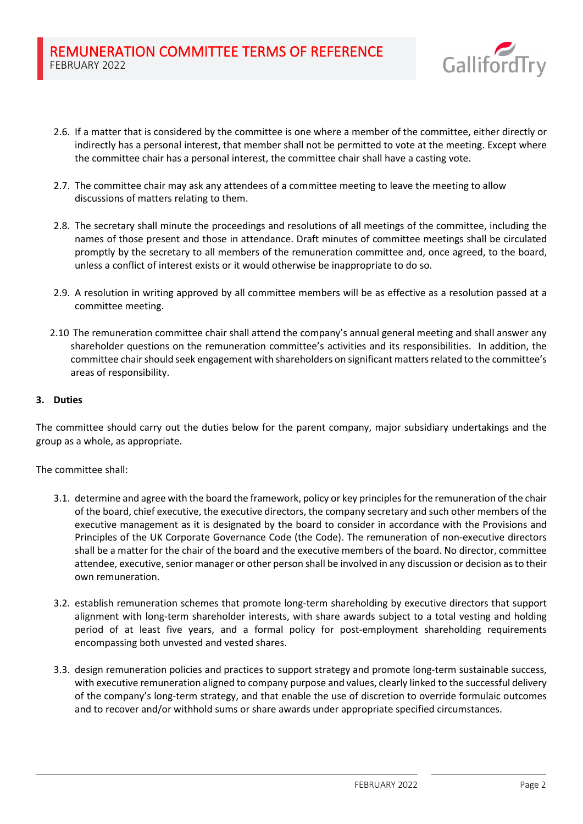

- 2.6. If a matter that is considered by the committee is one where a member of the committee, either directly or indirectly has a personal interest, that member shall not be permitted to vote at the meeting. Except where the committee chair has a personal interest, the committee chair shall have a casting vote.
- 2.7. The committee chair may ask any attendees of a committee meeting to leave the meeting to allow discussions of matters relating to them.
- 2.8. The secretary shall minute the proceedings and resolutions of all meetings of the committee, including the names of those present and those in attendance. Draft minutes of committee meetings shall be circulated promptly by the secretary to all members of the remuneration committee and, once agreed, to the board, unless a conflict of interest exists or it would otherwise be inappropriate to do so.
- 2.9. A resolution in writing approved by all committee members will be as effective as a resolution passed at a committee meeting.
- 2.10 The remuneration committee chair shall attend the company's annual general meeting and shall answer any shareholder questions on the remuneration committee's activities and its responsibilities. In addition, the committee chair should seek engagement with shareholders on significant matters related to the committee's areas of responsibility.

# **3. Duties**

The committee should carry out the duties below for the parent company, major subsidiary undertakings and the group as a whole, as appropriate.

The committee shall:

- 3.1. determine and agree with the board the framework, policy or key principles for the remuneration of the chair of the board, chief executive, the executive directors, the company secretary and such other members of the executive management as it is designated by the board to consider in accordance with the Provisions and Principles of the UK Corporate Governance Code (the Code). The remuneration of non-executive directors shall be a matter for the chair of the board and the executive members of the board. No director, committee attendee, executive, senior manager or other person shall be involved in any discussion or decision as to their own remuneration.
- 3.2. establish remuneration schemes that promote long-term shareholding by executive directors that support alignment with long-term shareholder interests, with share awards subject to a total vesting and holding period of at least five years, and a formal policy for post-employment shareholding requirements encompassing both unvested and vested shares.
- 3.3. design remuneration policies and practices to support strategy and promote long-term sustainable success, with executive remuneration aligned to company purpose and values, clearly linked to the successful delivery of the company's long-term strategy, and that enable the use of discretion to override formulaic outcomes and to recover and/or withhold sums or share awards under appropriate specified circumstances.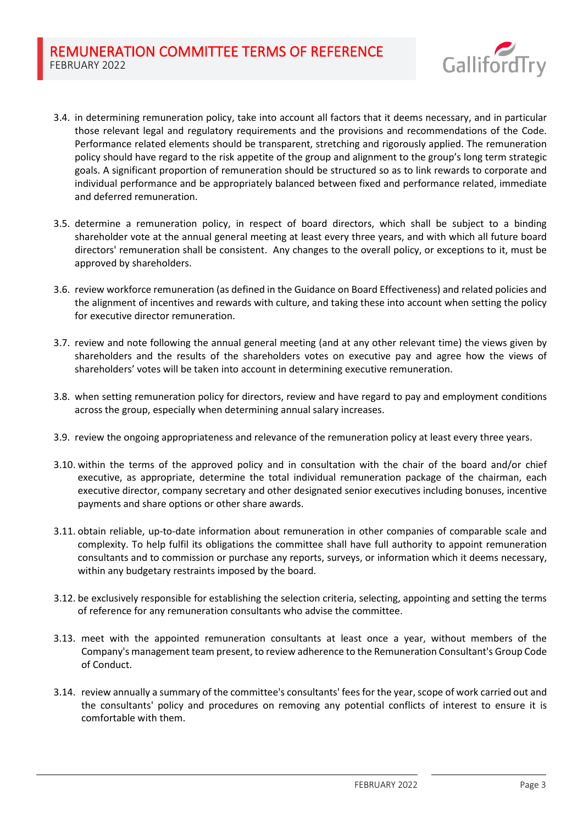

- 3.4. in determining remuneration policy, take into account all factors that it deems necessary, and in particular those relevant legal and regulatory requirements and the provisions and recommendations of the Code. Performance related elements should be transparent, stretching and rigorously applied. The remuneration policy should have regard to the risk appetite of the group and alignment to the group's long term strategic goals. A significant proportion of remuneration should be structured so as to link rewards to corporate and individual performance and be appropriately balanced between fixed and performance related, immediate and deferred remuneration.
- 3.5. determine a remuneration policy, in respect of board directors, which shall be subject to a binding shareholder vote at the annual general meeting at least every three years, and with which all future board directors' remuneration shall be consistent. Any changes to the overall policy, or exceptions to it, must be approved by shareholders.
- 3.6. review workforce remuneration (as defined in the Guidance on Board Effectiveness) and related policies and the alignment of incentives and rewards with culture, and taking these into account when setting the policy for executive director remuneration.
- 3.7. review and note following the annual general meeting (and at any other relevant time) the views given by shareholders and the results of the shareholders votes on executive pay and agree how the views of shareholders' votes will be taken into account in determining executive remuneration.
- 3.8. when setting remuneration policy for directors, review and have regard to pay and employment conditions across the group, especially when determining annual salary increases.
- 3.9. review the ongoing appropriateness and relevance of the remuneration policy at least every three years.
- 3.10. within the terms of the approved policy and in consultation with the chair of the board and/or chief executive, as appropriate, determine the total individual remuneration package of the chairman, each executive director, company secretary and other designated senior executives including bonuses, incentive payments and share options or other share awards.
- 3.11. obtain reliable, up-to-date information about remuneration in other companies of comparable scale and complexity. To help fulfil its obligations the committee shall have full authority to appoint remuneration consultants and to commission or purchase any reports, surveys, or information which it deems necessary, within any budgetary restraints imposed by the board.
- 3.12. be exclusively responsible for establishing the selection criteria, selecting, appointing and setting the terms of reference for any remuneration consultants who advise the committee.
- 3.13. meet with the appointed remuneration consultants at least once a year, without members of the Company's management team present, to review adherence to the Remuneration Consultant's Group Code of Conduct.
- 3.14. review annually a summary of the committee's consultants' fees for the year, scope of work carried out and the consultants' policy and procedures on removing any potential conflicts of interest to ensure it is comfortable with them.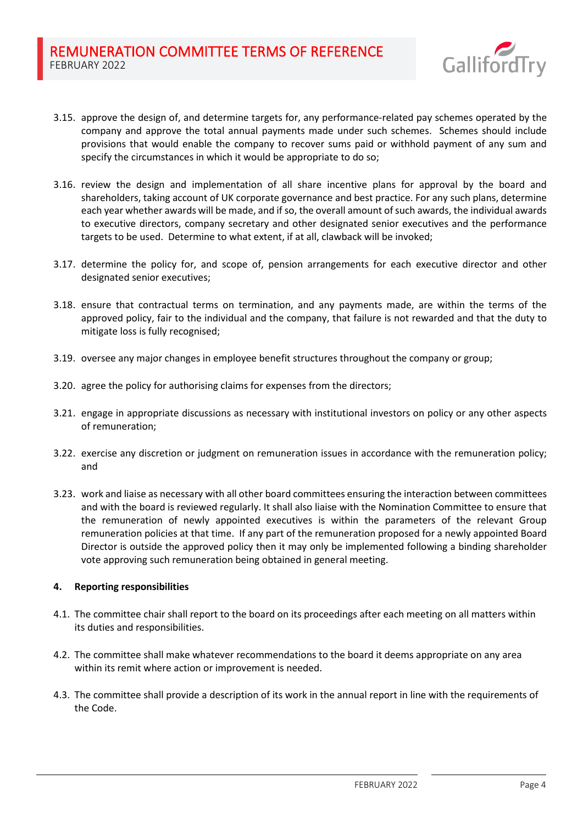

- 3.15. approve the design of, and determine targets for, any performance-related pay schemes operated by the company and approve the total annual payments made under such schemes. Schemes should include provisions that would enable the company to recover sums paid or withhold payment of any sum and specify the circumstances in which it would be appropriate to do so;
- 3.16. review the design and implementation of all share incentive plans for approval by the board and shareholders, taking account of UK corporate governance and best practice. For any such plans, determine each year whether awards will be made, and if so, the overall amount of such awards, the individual awards to executive directors, company secretary and other designated senior executives and the performance targets to be used. Determine to what extent, if at all, clawback will be invoked;
- 3.17. determine the policy for, and scope of, pension arrangements for each executive director and other designated senior executives;
- 3.18. ensure that contractual terms on termination, and any payments made, are within the terms of the approved policy, fair to the individual and the company, that failure is not rewarded and that the duty to mitigate loss is fully recognised;
- 3.19. oversee any major changes in employee benefit structures throughout the company or group;
- 3.20. agree the policy for authorising claims for expenses from the directors;
- 3.21. engage in appropriate discussions as necessary with institutional investors on policy or any other aspects of remuneration;
- 3.22. exercise any discretion or judgment on remuneration issues in accordance with the remuneration policy; and
- 3.23. work and liaise as necessary with all other board committees ensuring the interaction between committees and with the board is reviewed regularly. It shall also liaise with the Nomination Committee to ensure that the remuneration of newly appointed executives is within the parameters of the relevant Group remuneration policies at that time. If any part of the remuneration proposed for a newly appointed Board Director is outside the approved policy then it may only be implemented following a binding shareholder vote approving such remuneration being obtained in general meeting.

### **4. Reporting responsibilities**

- 4.1. The committee chair shall report to the board on its proceedings after each meeting on all matters within its duties and responsibilities.
- 4.2. The committee shall make whatever recommendations to the board it deems appropriate on any area within its remit where action or improvement is needed.
- 4.3. The committee shall provide a description of its work in the annual report in line with the requirements of the Code.